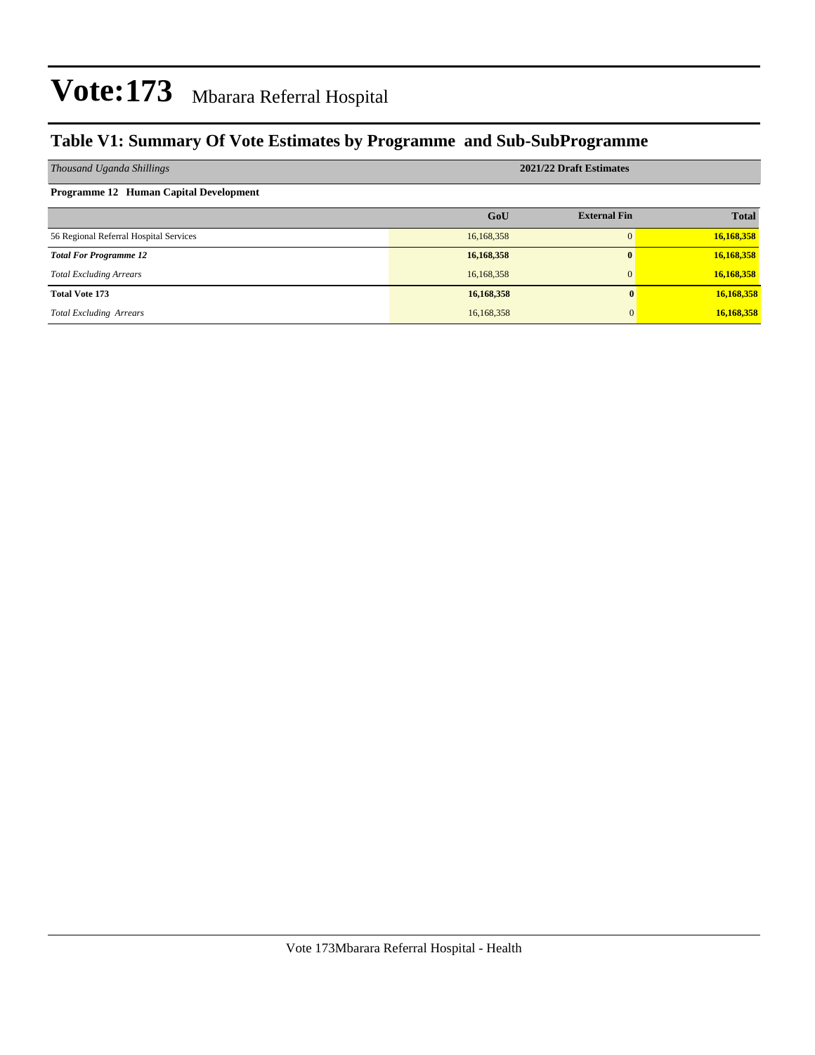### **Table V1: Summary Of Vote Estimates by Programme and Sub-SubProgramme**

| Thousand Uganda Shillings              | 2021/22 Draft Estimates |                     |              |  |  |  |  |  |
|----------------------------------------|-------------------------|---------------------|--------------|--|--|--|--|--|
| Programme 12 Human Capital Development |                         |                     |              |  |  |  |  |  |
|                                        | GoU                     | <b>External Fin</b> | <b>Total</b> |  |  |  |  |  |
| 56 Regional Referral Hospital Services | 16,168,358              | $\Omega$            | 16,168,358   |  |  |  |  |  |
| <b>Total For Programme 12</b>          | 16,168,358              | $\bf{0}$            | 16,168,358   |  |  |  |  |  |
| <b>Total Excluding Arrears</b>         | 16,168,358              | $\Omega$            | 16,168,358   |  |  |  |  |  |
| <b>Total Vote 173</b>                  | 16,168,358              |                     | 16,168,358   |  |  |  |  |  |
| <b>Total Excluding Arrears</b>         | 16,168,358              |                     | 16,168,358   |  |  |  |  |  |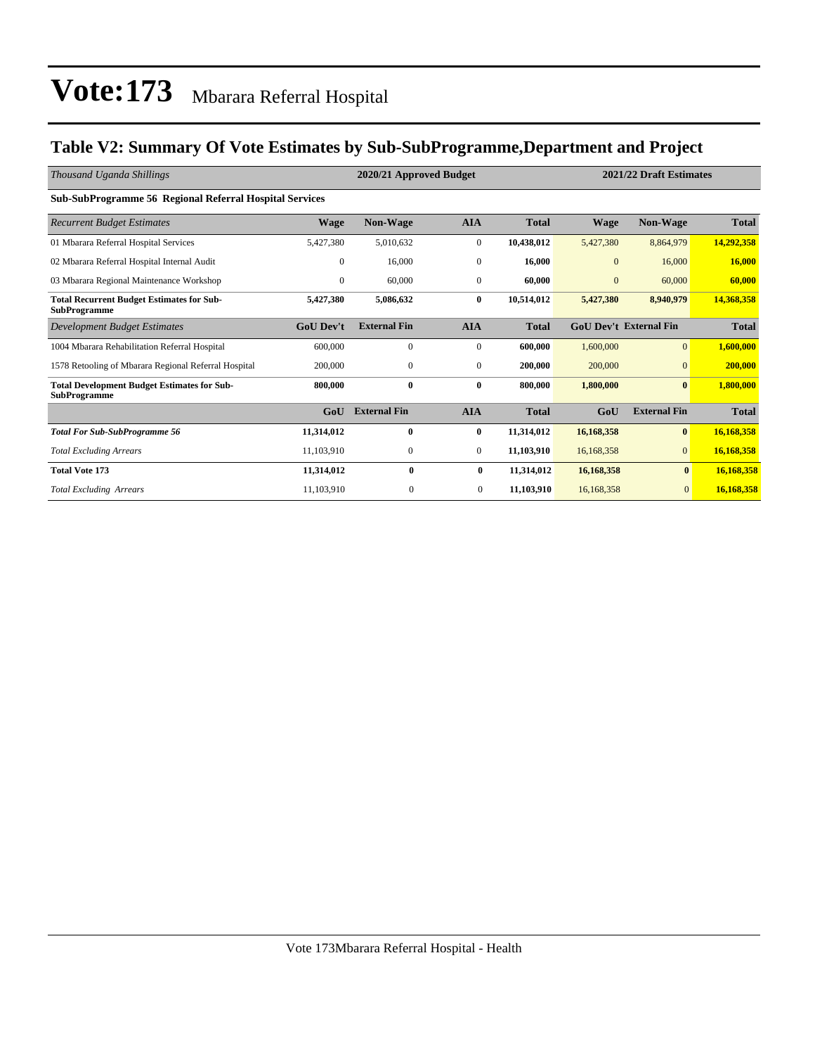### **Table V2: Summary Of Vote Estimates by Sub-SubProgramme,Department and Project**

| Thousand Uganda Shillings                                                 | 2020/21 Approved Budget |                     |                  |              |              | 2021/22 Draft Estimates       |              |  |
|---------------------------------------------------------------------------|-------------------------|---------------------|------------------|--------------|--------------|-------------------------------|--------------|--|
| <b>Sub-SubProgramme 56 Regional Referral Hospital Services</b>            |                         |                     |                  |              |              |                               |              |  |
| <b>Recurrent Budget Estimates</b>                                         | Wage                    | <b>Non-Wage</b>     | <b>AIA</b>       | <b>Total</b> | Wage         | <b>Non-Wage</b>               | <b>Total</b> |  |
| 01 Mbarara Referral Hospital Services                                     | 5,427,380               | 5,010,632           | $\boldsymbol{0}$ | 10,438,012   | 5,427,380    | 8,864,979                     | 14,292,358   |  |
| 02 Mbarara Referral Hospital Internal Audit                               | $\mathbf{0}$            | 16,000              | $\bf{0}$         | 16,000       | $\mathbf{0}$ | 16,000                        | 16,000       |  |
| 03 Mbarara Regional Maintenance Workshop                                  | $\mathbf{0}$            | 60,000              | $\mathbf{0}$     | 60,000       | $\mathbf{0}$ | 60,000                        | 60,000       |  |
| <b>Total Recurrent Budget Estimates for Sub-</b><br><b>SubProgramme</b>   | 5,427,380               | 5,086,632           | $\bf{0}$         | 10,514,012   | 5,427,380    | 8,940,979                     | 14,368,358   |  |
| Development Budget Estimates                                              | <b>GoU Dev't</b>        | <b>External Fin</b> | <b>AIA</b>       | <b>Total</b> |              | <b>GoU Dev't External Fin</b> | <b>Total</b> |  |
| 1004 Mbarara Rehabilitation Referral Hospital                             | 600,000                 | $\mathbf{0}$        | $\mathbf{0}$     | 600,000      | 1,600,000    | $\overline{0}$                | 1,600,000    |  |
| 1578 Retooling of Mbarara Regional Referral Hospital                      | 200,000                 | $\mathbf{0}$        | $\mathbf{0}$     | 200,000      | 200,000      | $\overline{0}$                | 200,000      |  |
| <b>Total Development Budget Estimates for Sub-</b><br><b>SubProgramme</b> | 800,000                 | $\bf{0}$            | $\bf{0}$         | 800,000      | 1,800,000    | $\bf{0}$                      | 1,800,000    |  |
|                                                                           | GoU                     | <b>External Fin</b> | <b>AIA</b>       | <b>Total</b> | GoU          | <b>External Fin</b>           | <b>Total</b> |  |
| <b>Total For Sub-SubProgramme 56</b>                                      | 11,314,012              | $\bf{0}$            | $\bf{0}$         | 11,314,012   | 16,168,358   | $\bf{0}$                      | 16,168,358   |  |
| <b>Total Excluding Arrears</b>                                            | 11,103,910              | $\mathbf{0}$        | $\mathbf{0}$     | 11,103,910   | 16,168,358   | $\overline{0}$                | 16,168,358   |  |
| <b>Total Vote 173</b>                                                     | 11,314,012              | $\bf{0}$            | $\bf{0}$         | 11,314,012   | 16,168,358   | $\bf{0}$                      | 16,168,358   |  |
| <b>Total Excluding Arrears</b>                                            | 11,103,910              | $\mathbf{0}$        | $\mathbf{0}$     | 11,103,910   | 16,168,358   | $\overline{0}$                | 16,168,358   |  |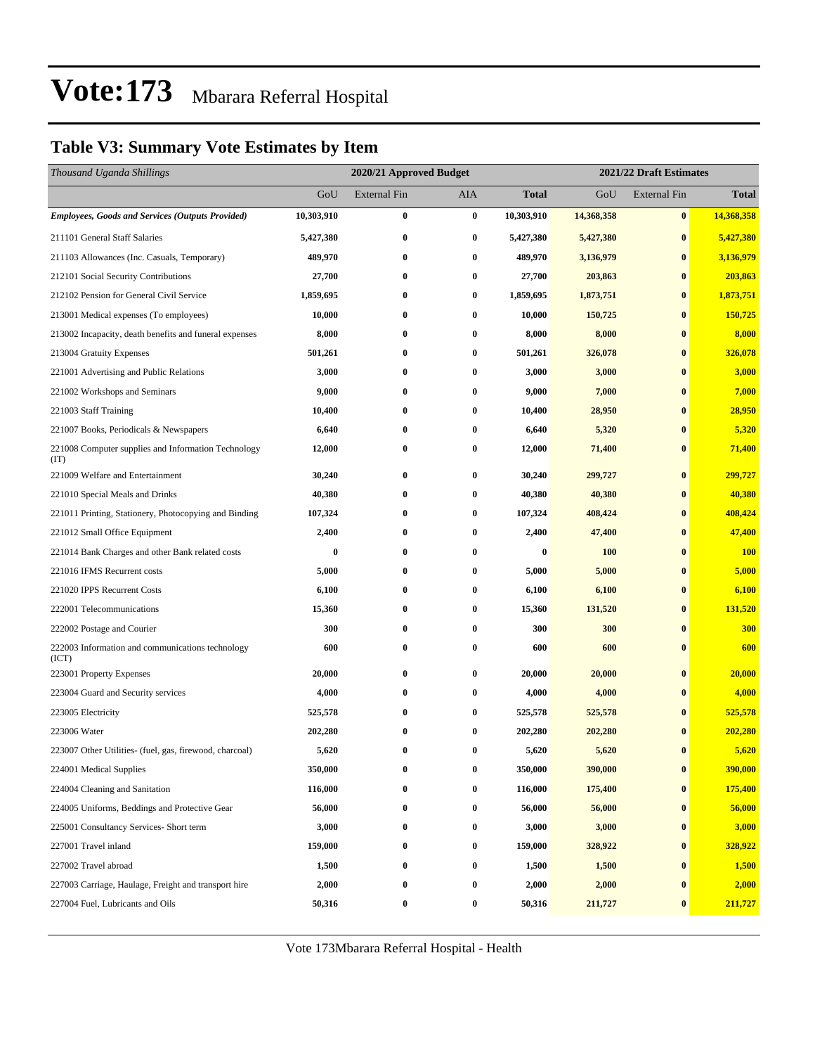### **Table V3: Summary Vote Estimates by Item**

| Thousand Uganda Shillings                                   |            | 2020/21 Approved Budget |          |              | 2021/22 Draft Estimates |                     |              |  |
|-------------------------------------------------------------|------------|-------------------------|----------|--------------|-------------------------|---------------------|--------------|--|
|                                                             | GoU        | <b>External Fin</b>     | AIA      | <b>Total</b> | GoU                     | <b>External Fin</b> | <b>Total</b> |  |
| <b>Employees, Goods and Services (Outputs Provided)</b>     | 10,303,910 | $\bf{0}$                | $\bf{0}$ | 10,303,910   | 14,368,358              | $\bf{0}$            | 14,368,358   |  |
| 211101 General Staff Salaries                               | 5,427,380  | $\bf{0}$                | 0        | 5,427,380    | 5,427,380               | $\bf{0}$            | 5,427,380    |  |
| 211103 Allowances (Inc. Casuals, Temporary)                 | 489,970    | $\bf{0}$                | 0        | 489,970      | 3,136,979               | $\bf{0}$            | 3,136,979    |  |
| 212101 Social Security Contributions                        | 27,700     | $\bf{0}$                | 0        | 27,700       | 203,863                 | $\bf{0}$            | 203,863      |  |
| 212102 Pension for General Civil Service                    | 1,859,695  | $\bf{0}$                | $\bf{0}$ | 1,859,695    | 1,873,751               | $\bf{0}$            | 1,873,751    |  |
| 213001 Medical expenses (To employees)                      | 10,000     | $\bf{0}$                | 0        | 10,000       | 150,725                 | $\bf{0}$            | 150,725      |  |
| 213002 Incapacity, death benefits and funeral expenses      | 8,000      | $\bf{0}$                | 0        | 8,000        | 8,000                   | $\bf{0}$            | 8,000        |  |
| 213004 Gratuity Expenses                                    | 501,261    | $\bf{0}$                | $\bf{0}$ | 501,261      | 326,078                 | $\bf{0}$            | 326,078      |  |
| 221001 Advertising and Public Relations                     | 3,000      | $\bf{0}$                | 0        | 3,000        | 3,000                   | $\bf{0}$            | 3,000        |  |
| 221002 Workshops and Seminars                               | 9,000      | $\bf{0}$                | 0        | 9,000        | 7,000                   | $\bf{0}$            | 7,000        |  |
| 221003 Staff Training                                       | 10,400     | $\bf{0}$                | 0        | 10,400       | 28,950                  | $\bf{0}$            | 28,950       |  |
| 221007 Books, Periodicals & Newspapers                      | 6,640      | $\bf{0}$                | 0        | 6,640        | 5,320                   | $\bf{0}$            | 5,320        |  |
| 221008 Computer supplies and Information Technology<br>(TT) | 12,000     | $\bf{0}$                | 0        | 12,000       | 71,400                  | $\bf{0}$            | 71,400       |  |
| 221009 Welfare and Entertainment                            | 30,240     | $\bf{0}$                | 0        | 30,240       | 299,727                 | $\bf{0}$            | 299,727      |  |
| 221010 Special Meals and Drinks                             | 40,380     | $\bf{0}$                | 0        | 40,380       | 40,380                  | $\bf{0}$            | 40,380       |  |
| 221011 Printing, Stationery, Photocopying and Binding       | 107,324    | $\bf{0}$                | $\bf{0}$ | 107,324      | 408,424                 | $\bf{0}$            | 408,424      |  |
| 221012 Small Office Equipment                               | 2,400      | $\bf{0}$                | 0        | 2,400        | 47,400                  | $\bf{0}$            | 47,400       |  |
| 221014 Bank Charges and other Bank related costs            | $\bf{0}$   | $\bf{0}$                | 0        | $\bf{0}$     | 100                     | $\bf{0}$            | <b>100</b>   |  |
| 221016 IFMS Recurrent costs                                 | 5,000      | $\bf{0}$                | 0        | 5,000        | 5,000                   | $\bf{0}$            | 5,000        |  |
| 221020 IPPS Recurrent Costs                                 | 6,100      | $\bf{0}$                | 0        | 6,100        | 6,100                   | $\bf{0}$            | 6,100        |  |
| 222001 Telecommunications                                   | 15,360     | $\bf{0}$                | 0        | 15,360       | 131,520                 | $\bf{0}$            | 131,520      |  |
| 222002 Postage and Courier                                  | 300        | $\bf{0}$                | 0        | 300          | 300                     | $\bf{0}$            | 300          |  |
| 222003 Information and communications technology<br>(ICT)   | 600        | $\bf{0}$                | 0        | 600          | 600                     | $\bf{0}$            | 600          |  |
| 223001 Property Expenses                                    | 20,000     | $\bf{0}$                | 0        | 20,000       | 20,000                  | $\bf{0}$            | 20,000       |  |
| 223004 Guard and Security services                          | 4,000      | $\bf{0}$                | 0        | 4,000        | 4,000                   | $\bf{0}$            | 4,000        |  |
| 223005 Electricity                                          | 525,578    | $\bf{0}$                | 0        | 525,578      | 525,578                 | $\bf{0}$            | 525,578      |  |
| 223006 Water                                                | 202,280    | $\bf{0}$                | 0        | 202,280      | 202,280                 | $\bf{0}$            | 202,280      |  |
| 223007 Other Utilities- (fuel, gas, firewood, charcoal)     | 5,620      | $\bf{0}$                | 0        | 5,620        | 5,620                   | $\bf{0}$            | 5,620        |  |
| 224001 Medical Supplies                                     | 350,000    | $\bf{0}$                | 0        | 350,000      | 390,000                 | $\pmb{0}$           | 390,000      |  |
| 224004 Cleaning and Sanitation                              | 116,000    | $\bf{0}$                | 0        | 116,000      | 175,400                 | $\bf{0}$            | 175,400      |  |
| 224005 Uniforms, Beddings and Protective Gear               | 56,000     | $\boldsymbol{0}$        | $\bf{0}$ | 56,000       | 56,000                  | $\bf{0}$            | 56,000       |  |
| 225001 Consultancy Services- Short term                     | 3,000      | $\bf{0}$                | 0        | 3,000        | 3,000                   | $\bf{0}$            | 3,000        |  |
| 227001 Travel inland                                        | 159,000    | $\bf{0}$                | 0        | 159,000      | 328,922                 | $\bf{0}$            | 328,922      |  |
| 227002 Travel abroad                                        | 1,500      | $\bf{0}$                | 0        | 1,500        | 1,500                   | $\bf{0}$            | 1,500        |  |
| 227003 Carriage, Haulage, Freight and transport hire        | 2,000      | $\bf{0}$                | 0        | 2,000        | 2,000                   | $\bf{0}$            | 2,000        |  |
| 227004 Fuel, Lubricants and Oils                            | 50,316     | $\boldsymbol{0}$        | 0        | 50,316       | 211,727                 | $\bf{0}$            | 211,727      |  |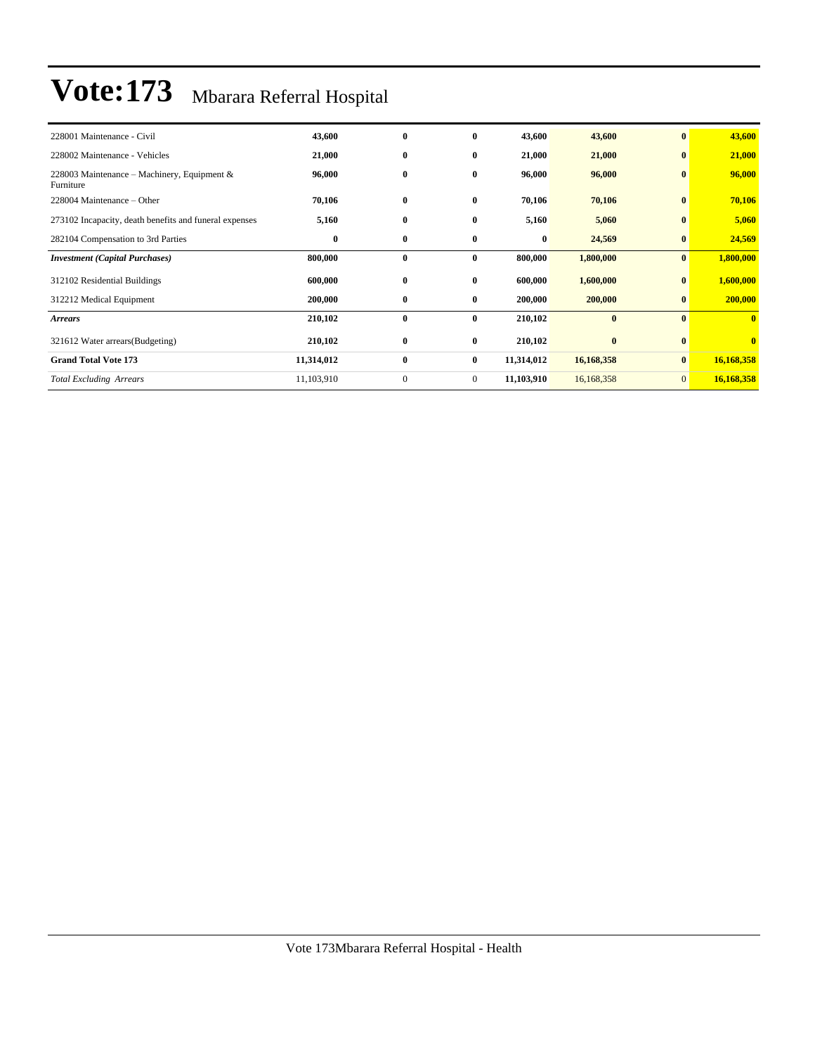| 228001 Maintenance - Civil                               | 43,600     | $\bf{0}$     | $\bf{0}$       | 43,600     | 43,600     | $\bf{0}$       | 43,600                  |
|----------------------------------------------------------|------------|--------------|----------------|------------|------------|----------------|-------------------------|
| 228002 Maintenance - Vehicles                            | 21,000     | $\bf{0}$     | $\bf{0}$       | 21,000     | 21,000     | $\bf{0}$       | 21,000                  |
| 228003 Maintenance - Machinery, Equipment &<br>Furniture | 96,000     | $\bf{0}$     | $\bf{0}$       | 96,000     | 96,000     | $\bf{0}$       | 96,000                  |
| 228004 Maintenance – Other                               | 70,106     | $\bf{0}$     | $\bf{0}$       | 70,106     | 70,106     | $\bf{0}$       | 70,106                  |
| 273102 Incapacity, death benefits and funeral expenses   | 5,160      | $\bf{0}$     | $\bf{0}$       | 5,160      | 5,060      | $\bf{0}$       | 5,060                   |
| 282104 Compensation to 3rd Parties                       | $\bf{0}$   | $\bf{0}$     | $\bf{0}$       | $\bf{0}$   | 24,569     | $\bf{0}$       | 24,569                  |
| <b>Investment</b> (Capital Purchases)                    | 800,000    | $\bf{0}$     | $\bf{0}$       | 800,000    | 1,800,000  | $\mathbf{0}$   | 1,800,000               |
| 312102 Residential Buildings                             | 600,000    | $\bf{0}$     | $\bf{0}$       | 600,000    | 1,600,000  | $\bf{0}$       | 1,600,000               |
| 312212 Medical Equipment                                 | 200,000    | $\bf{0}$     | $\bf{0}$       | 200,000    | 200,000    | $\bf{0}$       | 200,000                 |
| <b>Arrears</b>                                           | 210,102    | $\bf{0}$     | $\bf{0}$       | 210,102    | $\bf{0}$   | $\mathbf{0}$   | $\mathbf{0}$            |
| 321612 Water arrears (Budgeting)                         | 210,102    | $\bf{0}$     | $\bf{0}$       | 210,102    | $\bf{0}$   | $\bf{0}$       | $\overline{\mathbf{0}}$ |
| <b>Grand Total Vote 173</b>                              | 11,314,012 | $\bf{0}$     | $\bf{0}$       | 11,314,012 | 16,168,358 | $\mathbf{0}$   | 16,168,358              |
| <b>Total Excluding Arrears</b>                           | 11,103,910 | $\mathbf{0}$ | $\overline{0}$ | 11,103,910 | 16,168,358 | $\overline{0}$ | 16,168,358              |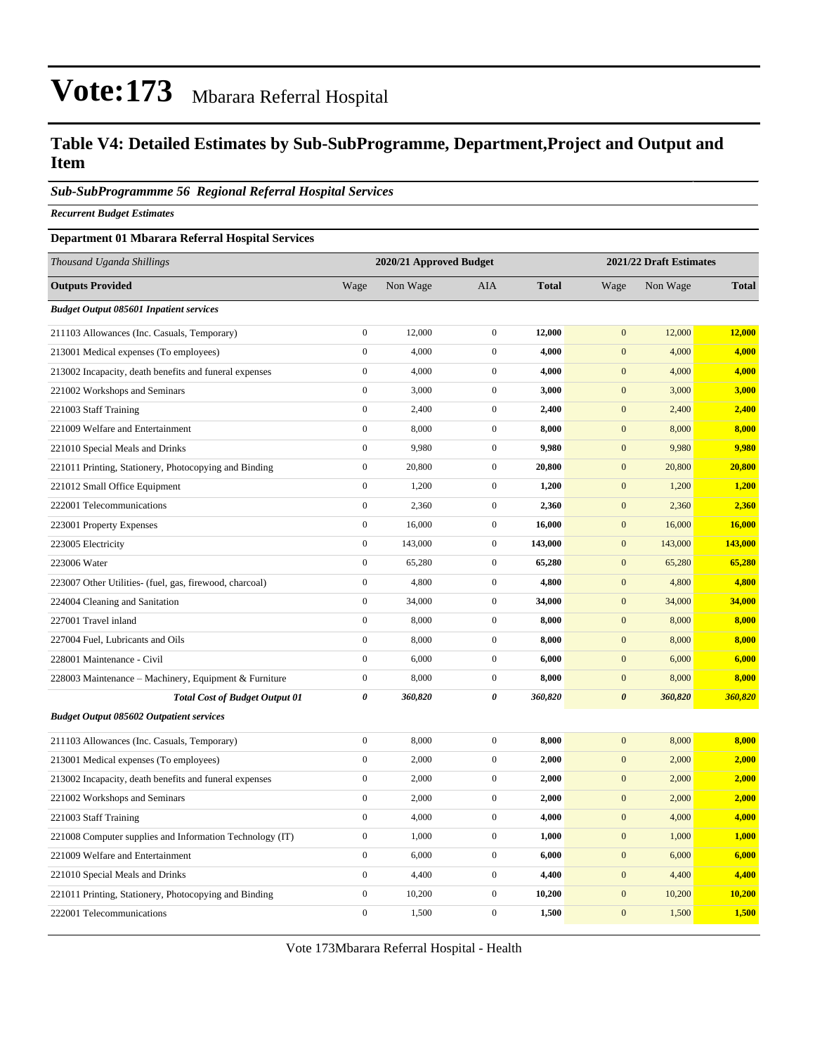### **Table V4: Detailed Estimates by Sub-SubProgramme, Department,Project and Output and Item**

#### *Sub-SubProgrammme 56 Regional Referral Hospital Services*

*Recurrent Budget Estimates*

#### **Department 01 Mbarara Referral Hospital Services**

| Thousand Uganda Shillings                                | 2020/21 Approved Budget<br>2021/22 Draft Estimates |          |                  |              |                       |          |              |
|----------------------------------------------------------|----------------------------------------------------|----------|------------------|--------------|-----------------------|----------|--------------|
| <b>Outputs Provided</b>                                  | Wage                                               | Non Wage | <b>AIA</b>       | <b>Total</b> | Wage                  | Non Wage | <b>Total</b> |
| <b>Budget Output 085601 Inpatient services</b>           |                                                    |          |                  |              |                       |          |              |
| 211103 Allowances (Inc. Casuals, Temporary)              | $\boldsymbol{0}$                                   | 12,000   | $\boldsymbol{0}$ | 12,000       | $\boldsymbol{0}$      | 12,000   | 12,000       |
| 213001 Medical expenses (To employees)                   | $\boldsymbol{0}$                                   | 4,000    | $\boldsymbol{0}$ | 4,000        | $\mathbf{0}$          | 4,000    | 4,000        |
| 213002 Incapacity, death benefits and funeral expenses   | $\boldsymbol{0}$                                   | 4,000    | $\boldsymbol{0}$ | 4,000        | $\mathbf{0}$          | 4,000    | 4,000        |
| 221002 Workshops and Seminars                            | $\boldsymbol{0}$                                   | 3,000    | $\mathbf{0}$     | 3,000        | $\mathbf{0}$          | 3,000    | 3,000        |
| 221003 Staff Training                                    | $\boldsymbol{0}$                                   | 2,400    | $\boldsymbol{0}$ | 2,400        | $\overline{0}$        | 2,400    | 2,400        |
| 221009 Welfare and Entertainment                         | $\boldsymbol{0}$                                   | 8,000    | $\mathbf{0}$     | 8,000        | $\mathbf{0}$          | 8,000    | 8,000        |
| 221010 Special Meals and Drinks                          | $\mathbf{0}$                                       | 9,980    | $\mathbf{0}$     | 9,980        | $\mathbf{0}$          | 9,980    | 9,980        |
| 221011 Printing, Stationery, Photocopying and Binding    | $\boldsymbol{0}$                                   | 20,800   | $\mathbf{0}$     | 20,800       | $\boldsymbol{0}$      | 20,800   | 20,800       |
| 221012 Small Office Equipment                            | $\boldsymbol{0}$                                   | 1,200    | $\boldsymbol{0}$ | 1,200        | $\mathbf{0}$          | 1,200    | 1,200        |
| 222001 Telecommunications                                | $\boldsymbol{0}$                                   | 2,360    | $\boldsymbol{0}$ | 2,360        | $\boldsymbol{0}$      | 2,360    | 2,360        |
| 223001 Property Expenses                                 | $\boldsymbol{0}$                                   | 16,000   | $\mathbf 0$      | 16,000       | $\mathbf{0}$          | 16,000   | 16,000       |
| 223005 Electricity                                       | $\boldsymbol{0}$                                   | 143,000  | $\boldsymbol{0}$ | 143,000      | $\boldsymbol{0}$      | 143,000  | 143,000      |
| 223006 Water                                             | $\boldsymbol{0}$                                   | 65,280   | $\mathbf 0$      | 65,280       | $\mathbf{0}$          | 65,280   | 65,280       |
| 223007 Other Utilities- (fuel, gas, firewood, charcoal)  | $\boldsymbol{0}$                                   | 4,800    | $\boldsymbol{0}$ | 4,800        | $\boldsymbol{0}$      | 4,800    | 4,800        |
| 224004 Cleaning and Sanitation                           | $\boldsymbol{0}$                                   | 34,000   | $\mathbf{0}$     | 34,000       | $\mathbf{0}$          | 34,000   | 34,000       |
| 227001 Travel inland                                     | $\boldsymbol{0}$                                   | 8,000    | $\boldsymbol{0}$ | 8,000        | $\boldsymbol{0}$      | 8,000    | 8,000        |
| 227004 Fuel, Lubricants and Oils                         | $\boldsymbol{0}$                                   | 8,000    | $\mathbf{0}$     | 8,000        | $\boldsymbol{0}$      | 8,000    | 8,000        |
| 228001 Maintenance - Civil                               | $\boldsymbol{0}$                                   | 6,000    | $\mathbf 0$      | 6,000        | $\mathbf{0}$          | 6,000    | 6,000        |
| 228003 Maintenance - Machinery, Equipment & Furniture    | $\boldsymbol{0}$                                   | 8,000    | $\mathbf{0}$     | 8,000        | $\mathbf{0}$          | 8,000    | 8,000        |
| <b>Total Cost of Budget Output 01</b>                    | 0                                                  | 360,820  | $\theta$         | 360,820      | $\boldsymbol{\theta}$ | 360,820  | 360,820      |
| <b>Budget Output 085602 Outpatient services</b>          |                                                    |          |                  |              |                       |          |              |
| 211103 Allowances (Inc. Casuals, Temporary)              | $\boldsymbol{0}$                                   | 8,000    | $\boldsymbol{0}$ | 8,000        | $\mathbf{0}$          | 8,000    | 8,000        |
| 213001 Medical expenses (To employees)                   | $\boldsymbol{0}$                                   | 2,000    | $\boldsymbol{0}$ | 2,000        | $\mathbf{0}$          | 2,000    | 2,000        |
| 213002 Incapacity, death benefits and funeral expenses   | $\boldsymbol{0}$                                   | 2,000    | $\mathbf{0}$     | 2,000        | $\boldsymbol{0}$      | 2,000    | 2,000        |
| 221002 Workshops and Seminars                            | $\boldsymbol{0}$                                   | 2,000    | $\boldsymbol{0}$ | 2,000        | $\boldsymbol{0}$      | 2,000    | 2,000        |
| 221003 Staff Training                                    | $\boldsymbol{0}$                                   | 4,000    | $\mathbf{0}$     | 4,000        | $\boldsymbol{0}$      | 4,000    | 4,000        |
| 221008 Computer supplies and Information Technology (IT) | $\boldsymbol{0}$                                   | 1,000    | $\mathbf{0}$     | 1,000        | $\mathbf{0}$          | 1,000    | 1,000        |
| 221009 Welfare and Entertainment                         | $\boldsymbol{0}$                                   | 6,000    | $\mathbf{0}$     | 6,000        | $\boldsymbol{0}$      | 6,000    | 6,000        |
| 221010 Special Meals and Drinks                          | $\boldsymbol{0}$                                   | 4,400    | $\mathbf{0}$     | 4,400        | $\mathbf{0}$          | 4,400    | 4,400        |
| 221011 Printing, Stationery, Photocopying and Binding    | $\boldsymbol{0}$                                   | 10,200   | $\boldsymbol{0}$ | 10,200       | $\boldsymbol{0}$      | 10,200   | 10,200       |
| 222001 Telecommunications                                | $\mathbf{0}$                                       | 1,500    | $\mathbf{0}$     | 1,500        | $\mathbf{0}$          | 1,500    | 1,500        |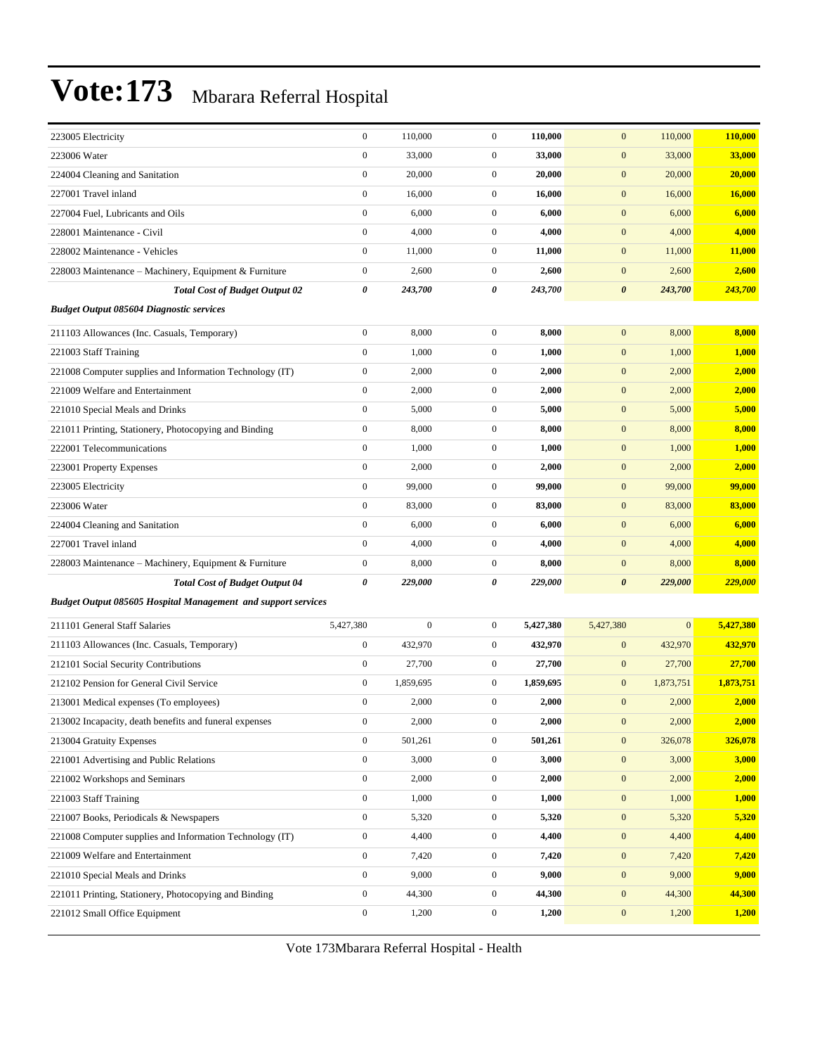| 223005 Electricity                                                   | $\boldsymbol{0}$ | 110,000          | $\mathbf{0}$     | 110,000   | $\mathbf{0}$          | 110,000        | 110,000   |
|----------------------------------------------------------------------|------------------|------------------|------------------|-----------|-----------------------|----------------|-----------|
| 223006 Water                                                         | $\boldsymbol{0}$ | 33,000           | $\mathbf{0}$     | 33,000    | $\boldsymbol{0}$      | 33,000         | 33,000    |
| 224004 Cleaning and Sanitation                                       | $\boldsymbol{0}$ | 20,000           | $\boldsymbol{0}$ | 20,000    | $\boldsymbol{0}$      | 20,000         | 20,000    |
| 227001 Travel inland                                                 | $\boldsymbol{0}$ | 16,000           | $\mathbf{0}$     | 16,000    | $\boldsymbol{0}$      | 16,000         | 16,000    |
| 227004 Fuel, Lubricants and Oils                                     | $\boldsymbol{0}$ | 6,000            | $\boldsymbol{0}$ | 6,000     | $\boldsymbol{0}$      | 6,000          | 6,000     |
| 228001 Maintenance - Civil                                           | $\boldsymbol{0}$ | 4,000            | $\boldsymbol{0}$ | 4,000     | $\mathbf{0}$          | 4,000          | 4,000     |
| 228002 Maintenance - Vehicles                                        | $\boldsymbol{0}$ | 11,000           | $\mathbf{0}$     | 11,000    | $\boldsymbol{0}$      | 11,000         | 11,000    |
| 228003 Maintenance - Machinery, Equipment & Furniture                | $\boldsymbol{0}$ | 2,600            | $\mathbf{0}$     | 2,600     | $\boldsymbol{0}$      | 2,600          | 2,600     |
| <b>Total Cost of Budget Output 02</b>                                | $\pmb{\theta}$   | 243,700          | 0                | 243,700   | $\boldsymbol{\theta}$ | 243,700        | 243,700   |
| <b>Budget Output 085604 Diagnostic services</b>                      |                  |                  |                  |           |                       |                |           |
| 211103 Allowances (Inc. Casuals, Temporary)                          | $\boldsymbol{0}$ | 8,000            | $\mathbf{0}$     | 8,000     | $\mathbf{0}$          | 8,000          | 8,000     |
| 221003 Staff Training                                                | $\boldsymbol{0}$ | 1,000            | $\boldsymbol{0}$ | 1,000     | $\mathbf{0}$          | 1,000          | 1,000     |
| 221008 Computer supplies and Information Technology (IT)             | $\boldsymbol{0}$ | 2,000            | $\boldsymbol{0}$ | 2,000     | $\boldsymbol{0}$      | 2,000          | 2,000     |
| 221009 Welfare and Entertainment                                     | $\boldsymbol{0}$ | 2,000            | $\mathbf{0}$     | 2,000     | $\mathbf{0}$          | 2,000          | 2,000     |
| 221010 Special Meals and Drinks                                      | $\boldsymbol{0}$ | 5,000            | $\boldsymbol{0}$ | 5,000     | $\boldsymbol{0}$      | 5,000          | 5,000     |
| 221011 Printing, Stationery, Photocopying and Binding                | $\boldsymbol{0}$ | 8,000            | $\mathbf{0}$     | 8,000     | $\boldsymbol{0}$      | 8,000          | 8,000     |
| 222001 Telecommunications                                            | $\boldsymbol{0}$ | 1,000            | $\boldsymbol{0}$ | 1,000     | $\boldsymbol{0}$      | 1,000          | 1,000     |
| 223001 Property Expenses                                             | $\boldsymbol{0}$ | 2,000            | $\boldsymbol{0}$ | 2,000     | $\boldsymbol{0}$      | 2,000          | 2,000     |
| 223005 Electricity                                                   | $\boldsymbol{0}$ | 99,000           | $\mathbf{0}$     | 99,000    | $\mathbf{0}$          | 99,000         | 99,000    |
| 223006 Water                                                         | $\boldsymbol{0}$ | 83,000           | $\mathbf{0}$     | 83,000    | $\boldsymbol{0}$      | 83,000         | 83,000    |
| 224004 Cleaning and Sanitation                                       | $\boldsymbol{0}$ | 6,000            | $\boldsymbol{0}$ | 6,000     | $\boldsymbol{0}$      | 6,000          | 6,000     |
| 227001 Travel inland                                                 | $\boldsymbol{0}$ | 4,000            | $\boldsymbol{0}$ | 4,000     | $\mathbf{0}$          | 4,000          | 4,000     |
| 228003 Maintenance - Machinery, Equipment & Furniture                | $\boldsymbol{0}$ | 8,000            | $\boldsymbol{0}$ | 8,000     | $\mathbf{0}$          | 8,000          | 8,000     |
| <b>Total Cost of Budget Output 04</b>                                | $\pmb{\theta}$   | 229,000          | 0                | 229,000   | $\boldsymbol{\theta}$ | 229,000        | 229,000   |
| <b>Budget Output 085605 Hospital Management and support services</b> |                  |                  |                  |           |                       |                |           |
| 211101 General Staff Salaries                                        | 5,427,380        | $\boldsymbol{0}$ | $\mathbf{0}$     | 5,427,380 | 5,427,380             | $\overline{0}$ | 5,427,380 |
| 211103 Allowances (Inc. Casuals, Temporary)                          | $\boldsymbol{0}$ | 432,970          | $\mathbf{0}$     | 432,970   | $\mathbf{0}$          | 432,970        | 432,970   |
| 212101 Social Security Contributions                                 | $\boldsymbol{0}$ | 27,700           | $\boldsymbol{0}$ | 27,700    | $\mathbf{0}$          | 27,700         | 27,700    |
| 212102 Pension for General Civil Service                             | $\boldsymbol{0}$ | 1,859,695        | $\mathbf{0}$     | 1,859,695 | $\mathbf{0}$          | 1,873,751      | 1,873,751 |
| 213001 Medical expenses (To employees)                               | $\boldsymbol{0}$ | 2,000            | $\boldsymbol{0}$ | 2,000     | $\boldsymbol{0}$      | 2,000          | 2,000     |
| 213002 Incapacity, death benefits and funeral expenses               | $\boldsymbol{0}$ | 2,000            | $\boldsymbol{0}$ | 2,000     | $\mathbf{0}$          | 2,000          | 2,000     |
| 213004 Gratuity Expenses                                             | $\boldsymbol{0}$ | 501,261          | $\mathbf{0}$     | 501,261   | $\boldsymbol{0}$      | 326,078        | 326,078   |
| 221001 Advertising and Public Relations                              | $\boldsymbol{0}$ | 3,000            | $\boldsymbol{0}$ | 3,000     | $\boldsymbol{0}$      | 3,000          | 3,000     |
| 221002 Workshops and Seminars                                        | $\boldsymbol{0}$ | 2,000            | $\boldsymbol{0}$ | 2,000     | $\boldsymbol{0}$      | 2,000          | 2,000     |
| 221003 Staff Training                                                | $\boldsymbol{0}$ | 1,000            | $\boldsymbol{0}$ | 1,000     | $\boldsymbol{0}$      | 1,000          | 1,000     |
| 221007 Books, Periodicals & Newspapers                               | $\mathbf{0}$     | 5,320            | $\boldsymbol{0}$ | 5,320     | $\boldsymbol{0}$      | 5,320          | 5,320     |
| 221008 Computer supplies and Information Technology (IT)             | $\boldsymbol{0}$ | 4,400            | $\boldsymbol{0}$ | 4,400     | $\boldsymbol{0}$      | 4,400          | 4,400     |
| 221009 Welfare and Entertainment                                     | $\boldsymbol{0}$ | 7,420            | $\boldsymbol{0}$ | 7,420     | $\boldsymbol{0}$      | 7,420          | 7,420     |
| 221010 Special Meals and Drinks                                      | $\boldsymbol{0}$ | 9,000            | $\boldsymbol{0}$ | 9,000     | $\boldsymbol{0}$      | 9,000          | 9,000     |
| 221011 Printing, Stationery, Photocopying and Binding                | $\boldsymbol{0}$ | 44,300           | $\boldsymbol{0}$ | 44,300    | $\boldsymbol{0}$      | 44,300         | 44,300    |
| 221012 Small Office Equipment                                        | $\boldsymbol{0}$ | 1,200            | $\boldsymbol{0}$ | 1,200     | $\boldsymbol{0}$      | 1,200          | 1,200     |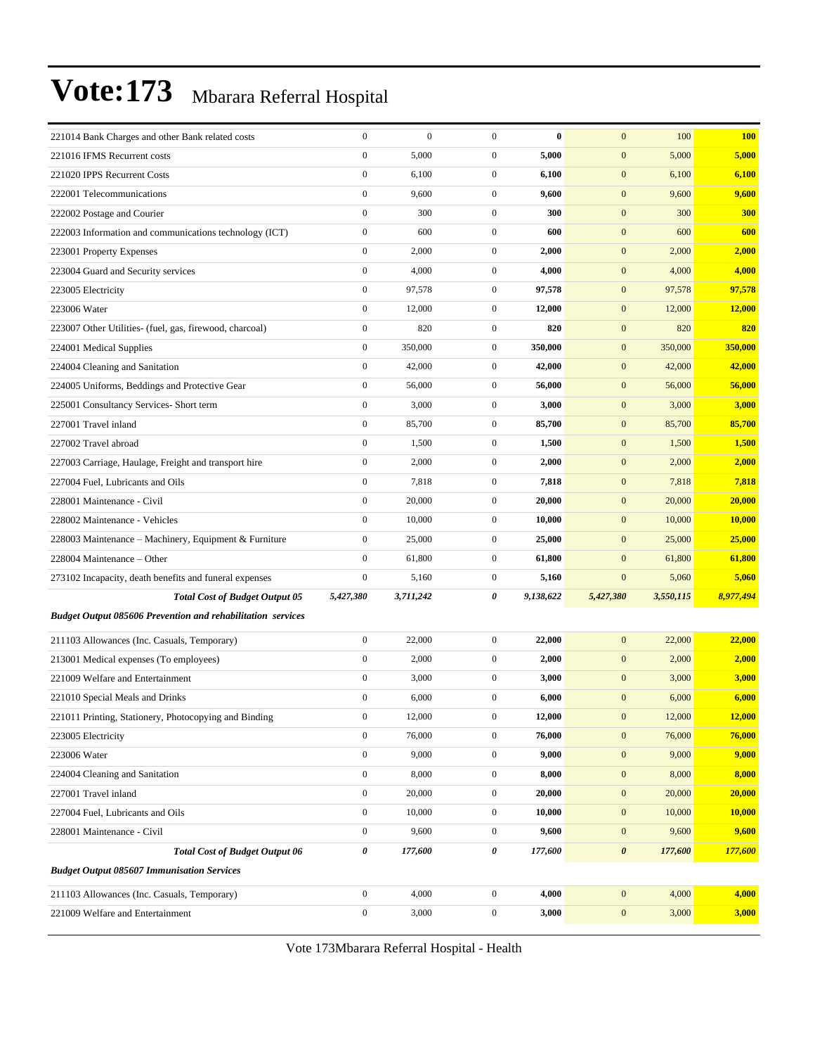| 221014 Bank Charges and other Bank related costs                   | $\boldsymbol{0}$ | $\boldsymbol{0}$ | $\mathbf{0}$     | $\bf{0}$  | $\mathbf{0}$          | 100       | <b>100</b> |
|--------------------------------------------------------------------|------------------|------------------|------------------|-----------|-----------------------|-----------|------------|
| 221016 IFMS Recurrent costs                                        | $\boldsymbol{0}$ | 5,000            | $\mathbf{0}$     | 5,000     | $\boldsymbol{0}$      | 5,000     | 5,000      |
| 221020 IPPS Recurrent Costs                                        | $\boldsymbol{0}$ | 6,100            | $\mathbf{0}$     | 6,100     | $\mathbf{0}$          | 6,100     | 6,100      |
| 222001 Telecommunications                                          | $\boldsymbol{0}$ | 9,600            | $\mathbf{0}$     | 9,600     | $\mathbf{0}$          | 9,600     | 9,600      |
| 222002 Postage and Courier                                         | $\boldsymbol{0}$ | 300              | $\mathbf{0}$     | 300       | $\mathbf{0}$          | 300       | <b>300</b> |
| 222003 Information and communications technology (ICT)             | $\boldsymbol{0}$ | 600              | $\mathbf{0}$     | 600       | $\mathbf{0}$          | 600       | 600        |
| 223001 Property Expenses                                           | $\boldsymbol{0}$ | 2,000            | $\mathbf{0}$     | 2,000     | $\mathbf{0}$          | 2,000     | 2,000      |
| 223004 Guard and Security services                                 | $\boldsymbol{0}$ | 4,000            | $\mathbf{0}$     | 4,000     | $\mathbf{0}$          | 4,000     | 4,000      |
| 223005 Electricity                                                 | $\boldsymbol{0}$ | 97,578           | $\mathbf{0}$     | 97,578    | $\mathbf{0}$          | 97,578    | 97,578     |
| 223006 Water                                                       | $\boldsymbol{0}$ | 12,000           | $\mathbf{0}$     | 12,000    | $\mathbf{0}$          | 12,000    | 12,000     |
| 223007 Other Utilities- (fuel, gas, firewood, charcoal)            | $\boldsymbol{0}$ | 820              | $\mathbf{0}$     | 820       | $\mathbf{0}$          | 820       | 820        |
| 224001 Medical Supplies                                            | $\boldsymbol{0}$ | 350,000          | $\mathbf{0}$     | 350,000   | $\mathbf{0}$          | 350,000   | 350,000    |
| 224004 Cleaning and Sanitation                                     | $\boldsymbol{0}$ | 42,000           | $\mathbf{0}$     | 42,000    | $\mathbf{0}$          | 42,000    | 42,000     |
| 224005 Uniforms, Beddings and Protective Gear                      | $\boldsymbol{0}$ | 56,000           | $\mathbf{0}$     | 56,000    | $\mathbf{0}$          | 56,000    | 56,000     |
| 225001 Consultancy Services- Short term                            | $\boldsymbol{0}$ | 3,000            | $\mathbf{0}$     | 3,000     | $\mathbf{0}$          | 3,000     | 3,000      |
| 227001 Travel inland                                               | $\boldsymbol{0}$ | 85,700           | $\mathbf{0}$     | 85,700    | $\mathbf{0}$          | 85,700    | 85,700     |
| 227002 Travel abroad                                               | $\boldsymbol{0}$ | 1,500            | $\mathbf{0}$     | 1,500     | $\mathbf{0}$          | 1,500     | 1,500      |
| 227003 Carriage, Haulage, Freight and transport hire               | $\boldsymbol{0}$ | 2,000            | $\mathbf{0}$     | 2,000     | $\mathbf{0}$          | 2,000     | 2,000      |
| 227004 Fuel, Lubricants and Oils                                   | $\boldsymbol{0}$ | 7,818            | $\mathbf{0}$     | 7,818     | $\mathbf{0}$          | 7,818     | 7,818      |
| 228001 Maintenance - Civil                                         | $\boldsymbol{0}$ | 20,000           | $\mathbf{0}$     | 20,000    | $\mathbf{0}$          | 20,000    | 20,000     |
| 228002 Maintenance - Vehicles                                      | $\boldsymbol{0}$ | 10,000           | $\mathbf{0}$     | 10,000    | $\mathbf{0}$          | 10,000    | 10,000     |
| 228003 Maintenance – Machinery, Equipment & Furniture              | $\boldsymbol{0}$ | 25,000           | $\mathbf{0}$     | 25,000    | $\mathbf{0}$          | 25,000    | 25,000     |
| 228004 Maintenance - Other                                         | $\boldsymbol{0}$ | 61,800           | $\mathbf{0}$     | 61,800    | $\mathbf{0}$          | 61,800    | 61,800     |
| 273102 Incapacity, death benefits and funeral expenses             | $\boldsymbol{0}$ | 5,160            | $\mathbf{0}$     | 5,160     | $\boldsymbol{0}$      | 5,060     | 5,060      |
| <b>Total Cost of Budget Output 05</b>                              | 5,427,380        | 3,711,242        | 0                | 9,138,622 | 5,427,380             | 3,550,115 | 8,977,494  |
| <b>Budget Output 085606 Prevention and rehabilitation services</b> |                  |                  |                  |           |                       |           |            |
| 211103 Allowances (Inc. Casuals, Temporary)                        | $\boldsymbol{0}$ | 22,000           | $\boldsymbol{0}$ | 22,000    | $\mathbf{0}$          | 22,000    | 22,000     |
| 213001 Medical expenses (To employees)                             | $\boldsymbol{0}$ | 2,000            | $\mathbf{0}$     | 2,000     | $\mathbf{0}$          | 2,000     | 2,000      |
| 221009 Welfare and Entertainment                                   | $\boldsymbol{0}$ | 3,000            | $\mathbf{0}$     | 3,000     | $\mathbf{0}$          | 3,000     | 3,000      |
| 221010 Special Meals and Drinks                                    | $\boldsymbol{0}$ | 6,000            | $\mathbf{0}$     | 6,000     | $\mathbf{0}$          | 6,000     | 6,000      |
| 221011 Printing, Stationery, Photocopying and Binding              | $\mathbf{0}$     | 12,000           | $\overline{0}$   | 12,000    | $\mathbf{0}$          | 12,000    | 12,000     |
| 223005 Electricity                                                 | $\boldsymbol{0}$ | 76,000           | $\boldsymbol{0}$ | 76,000    | $\boldsymbol{0}$      | 76,000    | 76,000     |
| 223006 Water                                                       | $\boldsymbol{0}$ | 9,000            | $\mathbf{0}$     | 9,000     | $\boldsymbol{0}$      | 9,000     | 9,000      |
| 224004 Cleaning and Sanitation                                     | $\boldsymbol{0}$ | 8,000            | $\boldsymbol{0}$ | 8,000     | $\mathbf{0}$          | 8,000     | 8,000      |
| 227001 Travel inland                                               | $\boldsymbol{0}$ | 20,000           | $\mathbf{0}$     | 20,000    | $\boldsymbol{0}$      | 20,000    | 20,000     |
| 227004 Fuel, Lubricants and Oils                                   | $\boldsymbol{0}$ | 10,000           | $\boldsymbol{0}$ | 10,000    | $\mathbf{0}$          | 10,000    | 10,000     |
| 228001 Maintenance - Civil                                         | $\boldsymbol{0}$ | 9,600            | $\boldsymbol{0}$ | 9,600     | $\mathbf{0}$          | 9,600     | 9,600      |
| <b>Total Cost of Budget Output 06</b>                              | 0                | 177,600          | 0                | 177,600   | $\boldsymbol{\theta}$ | 177,600   | 177,600    |
| <b>Budget Output 085607 Immunisation Services</b>                  |                  |                  |                  |           |                       |           |            |
| 211103 Allowances (Inc. Casuals, Temporary)                        | $\boldsymbol{0}$ | 4,000            | $\boldsymbol{0}$ | 4,000     | $\mathbf{0}$          | 4,000     | 4,000      |
| 221009 Welfare and Entertainment                                   | $\boldsymbol{0}$ | 3,000            | $\boldsymbol{0}$ | 3,000     | $\boldsymbol{0}$      | 3,000     | 3,000      |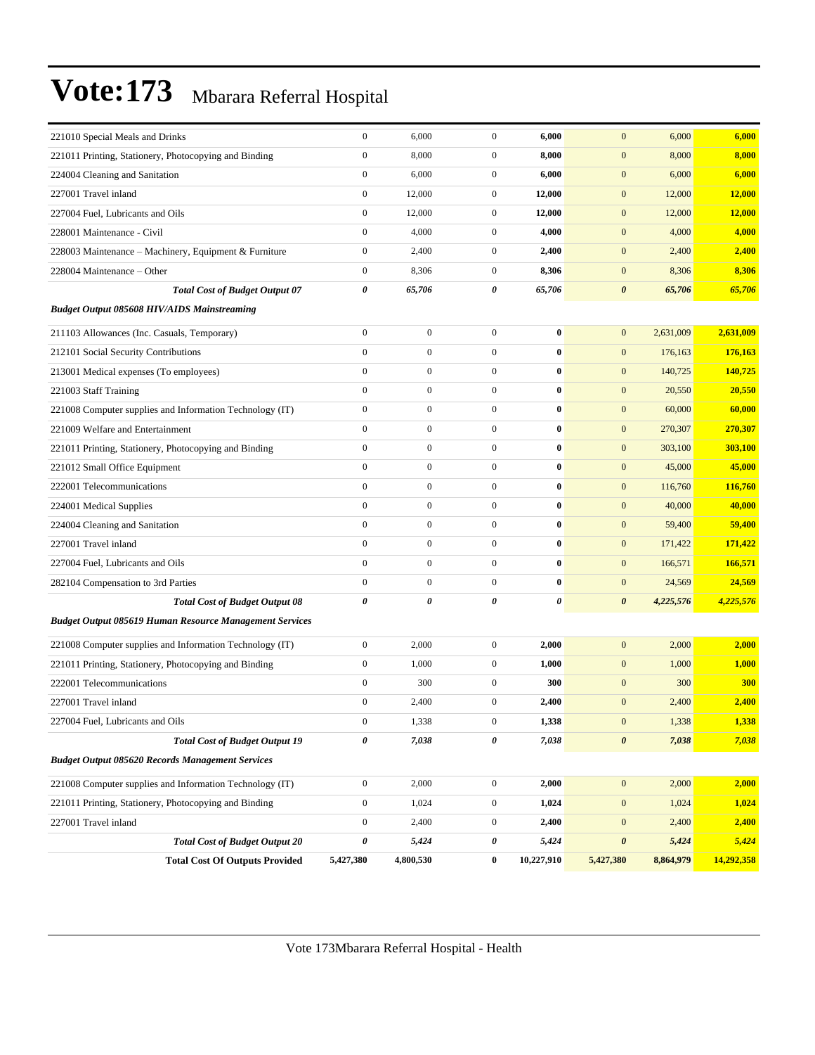| 221010 Special Meals and Drinks                                | $\boldsymbol{0}$ | 6,000            | $\mathbf{0}$     | 6,000      | $\mathbf{0}$          | 6,000     | 6,000      |
|----------------------------------------------------------------|------------------|------------------|------------------|------------|-----------------------|-----------|------------|
| 221011 Printing, Stationery, Photocopying and Binding          | $\boldsymbol{0}$ | 8,000            | $\boldsymbol{0}$ | 8,000      | $\mathbf{0}$          | 8,000     | 8,000      |
| 224004 Cleaning and Sanitation                                 | $\boldsymbol{0}$ | 6,000            | $\mathbf{0}$     | 6,000      | $\boldsymbol{0}$      | 6,000     | 6,000      |
| 227001 Travel inland                                           | $\boldsymbol{0}$ | 12,000           | $\mathbf{0}$     | 12,000     | $\boldsymbol{0}$      | 12,000    | 12,000     |
| 227004 Fuel, Lubricants and Oils                               | $\boldsymbol{0}$ | 12,000           | $\mathbf{0}$     | 12,000     | $\boldsymbol{0}$      | 12,000    | 12,000     |
| 228001 Maintenance - Civil                                     | $\overline{0}$   | 4,000            | $\boldsymbol{0}$ | 4,000      | $\mathbf{0}$          | 4,000     | 4,000      |
| 228003 Maintenance - Machinery, Equipment & Furniture          | $\boldsymbol{0}$ | 2,400            | $\boldsymbol{0}$ | 2,400      | $\mathbf{0}$          | 2,400     | 2,400      |
| 228004 Maintenance – Other                                     | $\boldsymbol{0}$ | 8,306            | $\mathbf{0}$     | 8,306      | $\boldsymbol{0}$      | 8,306     | 8,306      |
| <b>Total Cost of Budget Output 07</b>                          | 0                | 65,706           | 0                | 65,706     | $\pmb{\theta}$        | 65,706    | 65,706     |
| <b>Budget Output 085608 HIV/AIDS Mainstreaming</b>             |                  |                  |                  |            |                       |           |            |
| 211103 Allowances (Inc. Casuals, Temporary)                    | $\boldsymbol{0}$ | $\boldsymbol{0}$ | $\boldsymbol{0}$ | $\bf{0}$   | $\mathbf{0}$          | 2,631,009 | 2,631,009  |
| 212101 Social Security Contributions                           | $\overline{0}$   | $\boldsymbol{0}$ | $\boldsymbol{0}$ | $\bf{0}$   | $\mathbf{0}$          | 176,163   | 176,163    |
| 213001 Medical expenses (To employees)                         | $\boldsymbol{0}$ | $\boldsymbol{0}$ | $\boldsymbol{0}$ | $\bf{0}$   | $\mathbf{0}$          | 140,725   | 140,725    |
| 221003 Staff Training                                          | $\boldsymbol{0}$ | $\boldsymbol{0}$ | $\boldsymbol{0}$ | $\bf{0}$   | $\mathbf{0}$          | 20,550    | 20,550     |
| 221008 Computer supplies and Information Technology (IT)       | $\boldsymbol{0}$ | $\boldsymbol{0}$ | $\boldsymbol{0}$ | $\bf{0}$   | $\mathbf{0}$          | 60,000    | 60,000     |
| 221009 Welfare and Entertainment                               | $\boldsymbol{0}$ | $\boldsymbol{0}$ | $\mathbf{0}$     | $\bf{0}$   | $\boldsymbol{0}$      | 270,307   | 270,307    |
| 221011 Printing, Stationery, Photocopying and Binding          | $\overline{0}$   | $\boldsymbol{0}$ | $\boldsymbol{0}$ | $\bf{0}$   | $\mathbf{0}$          | 303,100   | 303,100    |
| 221012 Small Office Equipment                                  | $\boldsymbol{0}$ | $\boldsymbol{0}$ | $\boldsymbol{0}$ | $\bf{0}$   | $\mathbf{0}$          | 45,000    | 45,000     |
| 222001 Telecommunications                                      | $\boldsymbol{0}$ | $\boldsymbol{0}$ | $\boldsymbol{0}$ | $\bf{0}$   | $\mathbf{0}$          | 116,760   | 116,760    |
| 224001 Medical Supplies                                        | $\boldsymbol{0}$ | $\boldsymbol{0}$ | $\boldsymbol{0}$ | $\bf{0}$   | $\mathbf{0}$          | 40,000    | 40,000     |
| 224004 Cleaning and Sanitation                                 | $\overline{0}$   | $\boldsymbol{0}$ | $\mathbf{0}$     | $\bf{0}$   | $\boldsymbol{0}$      | 59,400    | 59,400     |
| 227001 Travel inland                                           | $\overline{0}$   | $\boldsymbol{0}$ | $\boldsymbol{0}$ | $\bf{0}$   | $\mathbf{0}$          | 171,422   | 171,422    |
| 227004 Fuel, Lubricants and Oils                               | $\boldsymbol{0}$ | $\boldsymbol{0}$ | $\boldsymbol{0}$ | $\bf{0}$   | $\mathbf{0}$          | 166,571   | 166,571    |
| 282104 Compensation to 3rd Parties                             | $\boldsymbol{0}$ | $\boldsymbol{0}$ | $\mathbf{0}$     | $\bf{0}$   | $\boldsymbol{0}$      | 24,569    | 24,569     |
| <b>Total Cost of Budget Output 08</b>                          | 0                | 0                | 0                | 0          | $\boldsymbol{\theta}$ | 4,225,576 | 4,225,576  |
| <b>Budget Output 085619 Human Resource Management Services</b> |                  |                  |                  |            |                       |           |            |
| 221008 Computer supplies and Information Technology (IT)       | $\boldsymbol{0}$ | 2,000            | $\boldsymbol{0}$ | 2,000      | $\mathbf{0}$          | 2,000     | 2,000      |
| 221011 Printing, Stationery, Photocopying and Binding          | $\boldsymbol{0}$ | 1,000            | $\boldsymbol{0}$ | 1,000      | $\mathbf{0}$          | 1,000     | 1,000      |
| 222001 Telecommunications                                      | $\boldsymbol{0}$ | 300              | $\boldsymbol{0}$ | 300        | $\mathbf{0}$          | 300       | 300        |
| 227001 Travel inland                                           | $\boldsymbol{0}$ | 2,400            | $\mathbf{0}$     | 2,400      | $\boldsymbol{0}$      | 2,400     | 2,400      |
| 227004 Fuel, Lubricants and Oils                               | $\boldsymbol{0}$ | 1,338            | $\boldsymbol{0}$ | 1,338      | $\boldsymbol{0}$      | 1,338     | 1,338      |
| <b>Total Cost of Budget Output 19</b>                          | 0                | 7,038            | 0                | 7,038      | $\boldsymbol{\theta}$ | 7,038     | 7,038      |
| <b>Budget Output 085620 Records Management Services</b>        |                  |                  |                  |            |                       |           |            |
| 221008 Computer supplies and Information Technology (IT)       | $\boldsymbol{0}$ | 2,000            | $\boldsymbol{0}$ | 2,000      | $\boldsymbol{0}$      | 2,000     | 2,000      |
| 221011 Printing, Stationery, Photocopying and Binding          | $\boldsymbol{0}$ | 1,024            | $\boldsymbol{0}$ | 1,024      | $\mathbf{0}$          | 1,024     | 1,024      |
| 227001 Travel inland                                           | $\boldsymbol{0}$ | 2,400            | $\boldsymbol{0}$ | 2,400      | $\boldsymbol{0}$      | 2,400     | 2,400      |
| <b>Total Cost of Budget Output 20</b>                          | 0                | 5,424            | 0                | 5,424      | $\pmb{\theta}$        | 5,424     | 5,424      |
| <b>Total Cost Of Outputs Provided</b>                          | 5,427,380        | 4,800,530        | $\bf{0}$         | 10,227,910 | 5,427,380             | 8,864,979 | 14,292,358 |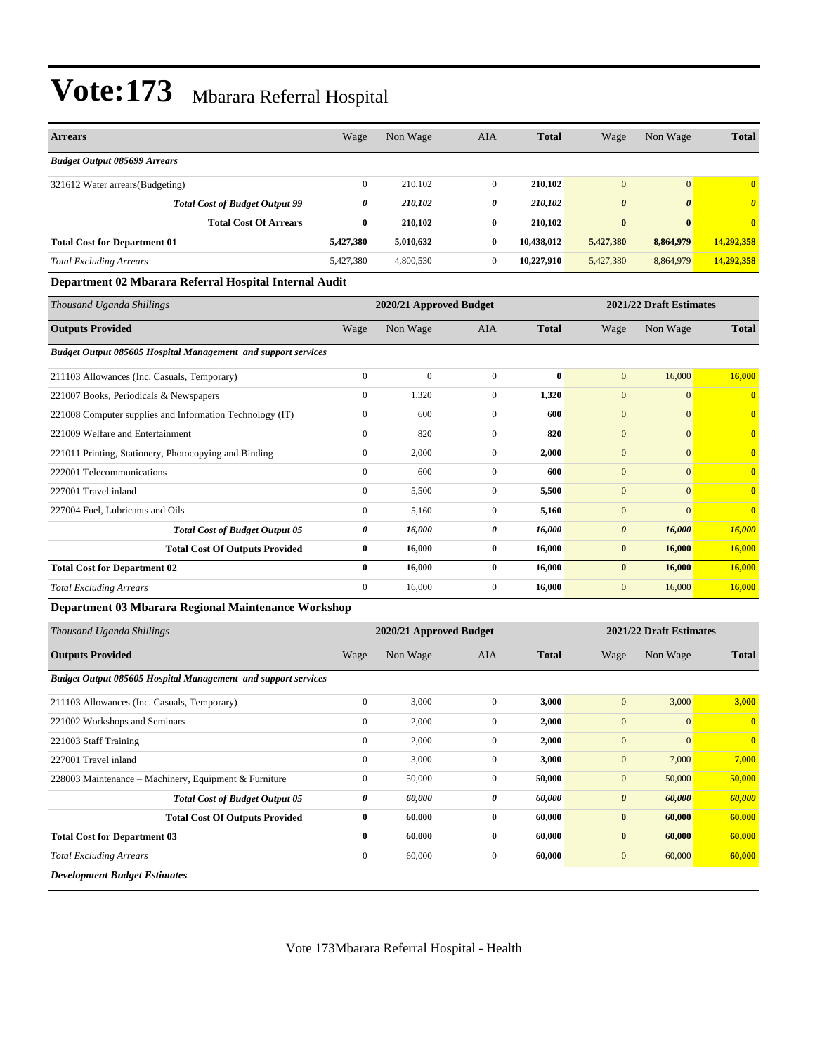| <b>Arrears</b>                                                       | Wage             | Non Wage                | <b>AIA</b>       | <b>Total</b> | Wage                  | Non Wage                | <b>Total</b>            |
|----------------------------------------------------------------------|------------------|-------------------------|------------------|--------------|-----------------------|-------------------------|-------------------------|
| <b>Budget Output 085699 Arrears</b>                                  |                  |                         |                  |              |                       |                         |                         |
| 321612 Water arrears(Budgeting)                                      | $\boldsymbol{0}$ | 210,102                 | $\mathbf{0}$     | 210,102      | $\mathbf{0}$          | $\overline{0}$          | $\bf{0}$                |
| <b>Total Cost of Budget Output 99</b>                                | 0                | 210,102                 | 0                | 210,102      | $\boldsymbol{\theta}$ | $\boldsymbol{\theta}$   | $\boldsymbol{\theta}$   |
| <b>Total Cost Of Arrears</b>                                         | $\bf{0}$         | 210,102                 | $\bf{0}$         | 210,102      | $\bf{0}$              | $\bf{0}$                | $\bf{0}$                |
| <b>Total Cost for Department 01</b>                                  | 5,427,380        | 5,010,632               | $\bf{0}$         | 10,438,012   | 5,427,380             | 8,864,979               | 14,292,358              |
| <b>Total Excluding Arrears</b>                                       | 5,427,380        | 4,800,530               | $\mathbf{0}$     | 10,227,910   | 5,427,380             | 8,864,979               | 14,292,358              |
| Department 02 Mbarara Referral Hospital Internal Audit               |                  |                         |                  |              |                       |                         |                         |
| Thousand Uganda Shillings                                            |                  | 2020/21 Approved Budget |                  |              |                       | 2021/22 Draft Estimates |                         |
| <b>Outputs Provided</b>                                              | Wage             | Non Wage                | <b>AIA</b>       | <b>Total</b> | Wage                  | Non Wage                | <b>Total</b>            |
| <b>Budget Output 085605 Hospital Management and support services</b> |                  |                         |                  |              |                       |                         |                         |
| 211103 Allowances (Inc. Casuals, Temporary)                          | $\boldsymbol{0}$ | $\mathbf{0}$            | $\boldsymbol{0}$ | $\bf{0}$     | $\mathbf{0}$          | 16,000                  | 16,000                  |
| 221007 Books, Periodicals & Newspapers                               | $\boldsymbol{0}$ | 1,320                   | $\boldsymbol{0}$ | 1,320        | $\mathbf{0}$          | $\mathbf{0}$            | $\bf{0}$                |
| 221008 Computer supplies and Information Technology (IT)             | $\boldsymbol{0}$ | 600                     | $\boldsymbol{0}$ | 600          | $\mathbf{0}$          | $\overline{0}$          | $\mathbf{0}$            |
| 221009 Welfare and Entertainment                                     | $\mathbf{0}$     | 820                     | $\mathbf{0}$     | 820          | $\mathbf{0}$          | $\Omega$                | $\mathbf{0}$            |
| 221011 Printing, Stationery, Photocopying and Binding                | $\boldsymbol{0}$ | 2,000                   | $\mathbf{0}$     | 2,000        | $\mathbf{0}$          | $\overline{0}$          | $\mathbf{0}$            |
| 222001 Telecommunications                                            | $\boldsymbol{0}$ | 600                     | $\mathbf{0}$     | 600          | $\mathbf{0}$          | $\overline{0}$          | $\bf{0}$                |
| 227001 Travel inland                                                 | $\boldsymbol{0}$ | 5,500                   | $\mathbf{0}$     | 5,500        | $\boldsymbol{0}$      | $\overline{0}$          | $\bf{0}$                |
| 227004 Fuel, Lubricants and Oils                                     | $\boldsymbol{0}$ | 5,160                   | $\mathbf{0}$     | 5,160        | $\mathbf{0}$          | $\overline{0}$          | $\bf{0}$                |
| <b>Total Cost of Budget Output 05</b>                                | 0                | 16,000                  | 0                | 16,000       | 0                     | 16,000                  | <b>16,000</b>           |
| <b>Total Cost Of Outputs Provided</b>                                | $\bf{0}$         | 16,000                  | $\bf{0}$         | 16,000       | $\bf{0}$              | 16,000                  | <b>16,000</b>           |
| <b>Total Cost for Department 02</b>                                  | $\bf{0}$         | 16,000                  | $\bf{0}$         | 16,000       | $\bf{0}$              | 16,000                  | 16,000                  |
| <b>Total Excluding Arrears</b>                                       | $\boldsymbol{0}$ | 16,000                  | $\boldsymbol{0}$ | 16,000       | $\mathbf{0}$          | 16,000                  | 16,000                  |
| Department 03 Mbarara Regional Maintenance Workshop                  |                  |                         |                  |              |                       |                         |                         |
| Thousand Uganda Shillings                                            |                  | 2020/21 Approved Budget |                  |              |                       | 2021/22 Draft Estimates |                         |
| <b>Outputs Provided</b>                                              | Wage             | Non Wage                | AIA              | <b>Total</b> | Wage                  | Non Wage                | <b>Total</b>            |
| Budget Output 085605 Hospital Management and support services        |                  |                         |                  |              |                       |                         |                         |
| 211103 Allowances (Inc. Casuals, Temporary)                          | $\boldsymbol{0}$ | 3,000                   | $\mathbf{0}$     | 3,000        | $\mathbf{0}$          | 3,000                   | 3,000                   |
| 221002 Workshops and Seminars                                        | $\boldsymbol{0}$ | 2,000                   | $\overline{0}$   | 2,000        | $\mathbf{0}$          | $\boldsymbol{0}$        | $\boldsymbol{0}$        |
| 221003 Staff Training                                                | $\boldsymbol{0}$ | 2,000                   | $\boldsymbol{0}$ | 2,000        | $\boldsymbol{0}$      | $\overline{0}$          | $\overline{\mathbf{0}}$ |
| 227001 Travel inland                                                 | $\boldsymbol{0}$ | 3,000                   | $\boldsymbol{0}$ | 3,000        | $\boldsymbol{0}$      | 7,000                   | 7,000                   |
| 228003 Maintenance - Machinery, Equipment & Furniture                | $\boldsymbol{0}$ | 50,000                  | $\boldsymbol{0}$ | 50,000       | $\boldsymbol{0}$      | 50,000                  | 50,000                  |
| <b>Total Cost of Budget Output 05</b>                                | 0                | 60,000                  | 0                | 60,000       | $\boldsymbol{\theta}$ | 60,000                  | 60,000                  |
| <b>Total Cost Of Outputs Provided</b>                                | $\bf{0}$         | 60,000                  | $\bf{0}$         | 60,000       | $\bf{0}$              | 60,000                  | 60,000                  |
| <b>Total Cost for Department 03</b>                                  | $\bf{0}$         | 60,000                  | $\bf{0}$         | 60,000       | $\bf{0}$              | 60,000                  | 60,000                  |
| <b>Total Excluding Arrears</b>                                       | $\boldsymbol{0}$ | 60,000                  | $\boldsymbol{0}$ | 60,000       | $\boldsymbol{0}$      | 60,000                  | 60,000                  |
| <b>Development Budget Estimates</b>                                  |                  |                         |                  |              |                       |                         |                         |